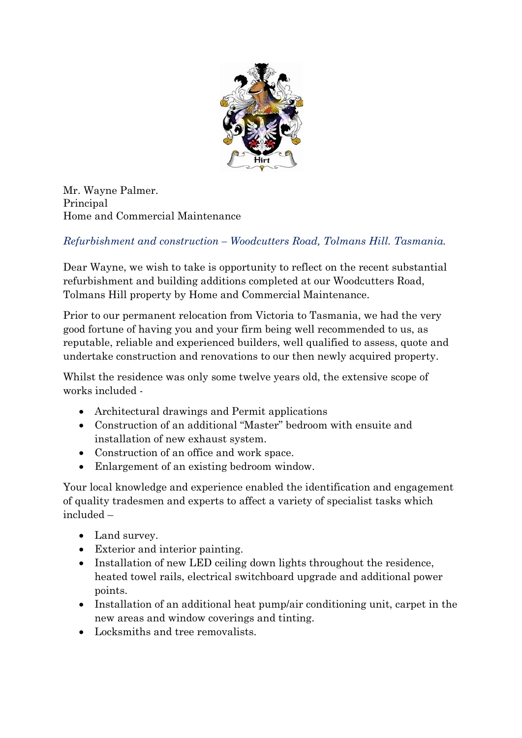

Mr. Wayne Palmer. Principal Home and Commercial Maintenance

## *Refurbishment and construction – Woodcutters Road, Tolmans Hill. Tasmania.*

Dear Wayne, we wish to take is opportunity to reflect on the recent substantial refurbishment and building additions completed at our Woodcutters Road, Tolmans Hill property by Home and Commercial Maintenance.

Prior to our permanent relocation from Victoria to Tasmania, we had the very good fortune of having you and your firm being well recommended to us, as reputable, reliable and experienced builders, well qualified to assess, quote and undertake construction and renovations to our then newly acquired property.

Whilst the residence was only some twelve years old, the extensive scope of works included -

- Architectural drawings and Permit applications
- Construction of an additional "Master" bedroom with ensuite and installation of new exhaust system.
- Construction of an office and work space.
- Enlargement of an existing bedroom window.

Your local knowledge and experience enabled the identification and engagement of quality tradesmen and experts to affect a variety of specialist tasks which included –

- Land survey.
- Exterior and interior painting.
- Installation of new LED ceiling down lights throughout the residence, heated towel rails, electrical switchboard upgrade and additional power points.
- Installation of an additional heat pump/air conditioning unit, carpet in the new areas and window coverings and tinting.
- Locksmiths and tree removalists.